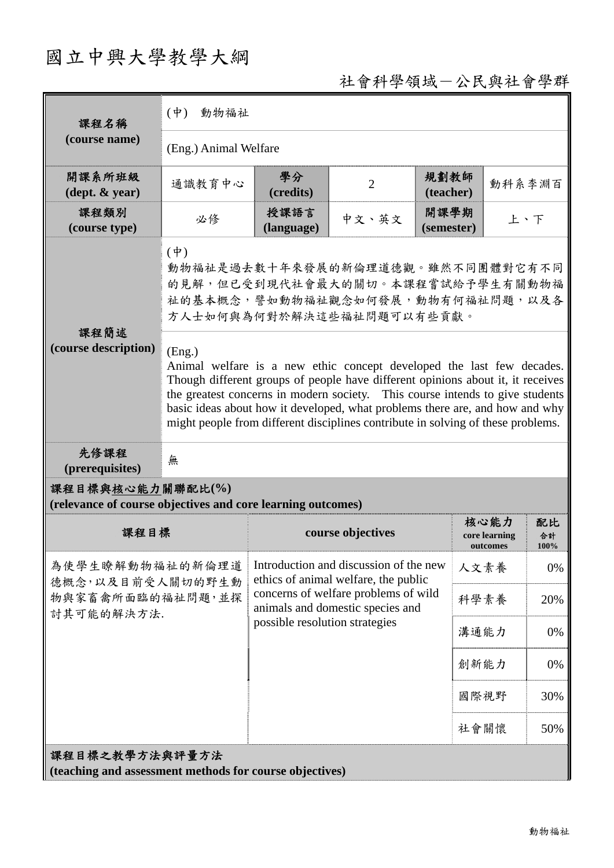# 國立中興大學教學大綱

## 社會科學領域-公民與社會學群

| 課程名稱                                                                            | 動物福祉<br>$(\dot{\Psi})$                                                                                                                                                                                                                                                                                                                                                                                                  |                                                                                                                                                            |                   |                    |                                   |                  |  |
|---------------------------------------------------------------------------------|-------------------------------------------------------------------------------------------------------------------------------------------------------------------------------------------------------------------------------------------------------------------------------------------------------------------------------------------------------------------------------------------------------------------------|------------------------------------------------------------------------------------------------------------------------------------------------------------|-------------------|--------------------|-----------------------------------|------------------|--|
| (course name)                                                                   | (Eng.) Animal Welfare                                                                                                                                                                                                                                                                                                                                                                                                   |                                                                                                                                                            |                   |                    |                                   |                  |  |
| 開課系所班級<br>$(\text{dept.} \& \text{ year})$                                      | 通識教育中心                                                                                                                                                                                                                                                                                                                                                                                                                  | 學分<br>(credits)                                                                                                                                            | $\overline{2}$    | 規劃教師<br>(teacher)  | 動科系李淵百                            |                  |  |
| 課程類別<br>(course type)                                                           | 必修                                                                                                                                                                                                                                                                                                                                                                                                                      | 授課語言<br>(language)                                                                                                                                         | 中文、英文             | 開課學期<br>(semester) | 上、下                               |                  |  |
|                                                                                 | $(\dagger)$<br>動物福祉是過去數十年來發展的新倫理道德觀。雖然不同團體對它有不同<br>的見解,但已受到現代社會最大的關切。本課程嘗試給予學生有關動物福<br>祉的基本概念,譬如動物福祉觀念如何發展,動物有何福祉問題,以及各<br>方人士如何與為何對於解決這些福祉問題可以有些貢獻。                                                                                                                                                                                                                                                                    |                                                                                                                                                            |                   |                    |                                   |                  |  |
| 課程簡述<br>(course description)                                                    | (Eng.)<br>Animal welfare is a new ethic concept developed the last few decades.<br>Though different groups of people have different opinions about it, it receives<br>the greatest concerns in modern society. This course intends to give students<br>basic ideas about how it developed, what problems there are, and how and why<br>might people from different disciplines contribute in solving of these problems. |                                                                                                                                                            |                   |                    |                                   |                  |  |
| 先修課程<br>(prerequisites)                                                         | 無                                                                                                                                                                                                                                                                                                                                                                                                                       |                                                                                                                                                            |                   |                    |                                   |                  |  |
| 課程目標與核心能力關聯配比(%)<br>(relevance of course objectives and core learning outcomes) |                                                                                                                                                                                                                                                                                                                                                                                                                         |                                                                                                                                                            |                   |                    |                                   |                  |  |
|                                                                                 | 課程目標                                                                                                                                                                                                                                                                                                                                                                                                                    |                                                                                                                                                            | course objectives |                    | 核心能力<br>core learning<br>outcomes | 配比<br>合計<br>100% |  |
| 為使學生瞭解動物福祉的新倫理道<br>德概念,以及目前受人關切的野生動                                             |                                                                                                                                                                                                                                                                                                                                                                                                                         | Introduction and discussion of the new<br>ethics of animal welfare, the public<br>concerns of welfare problems of wild<br>animals and domestic species and |                   |                    | 人文素養                              | 0%               |  |
| 物與家畜禽所面臨的福祉問題,並探<br>討其可能的解決方法.                                                  |                                                                                                                                                                                                                                                                                                                                                                                                                         |                                                                                                                                                            |                   |                    | 科學素養                              | 20%              |  |
|                                                                                 |                                                                                                                                                                                                                                                                                                                                                                                                                         | possible resolution strategies                                                                                                                             |                   |                    | 溝通能力                              | 0%               |  |
|                                                                                 |                                                                                                                                                                                                                                                                                                                                                                                                                         |                                                                                                                                                            |                   | 創新能力               |                                   | 0%               |  |
|                                                                                 |                                                                                                                                                                                                                                                                                                                                                                                                                         |                                                                                                                                                            |                   |                    | 國際視野                              | 30%              |  |
|                                                                                 |                                                                                                                                                                                                                                                                                                                                                                                                                         |                                                                                                                                                            |                   | 社會關懷               |                                   | 50%              |  |
| 課程目標之教學方法與評量方法<br>(teaching and assessment methods for course objectives)       |                                                                                                                                                                                                                                                                                                                                                                                                                         |                                                                                                                                                            |                   |                    |                                   |                  |  |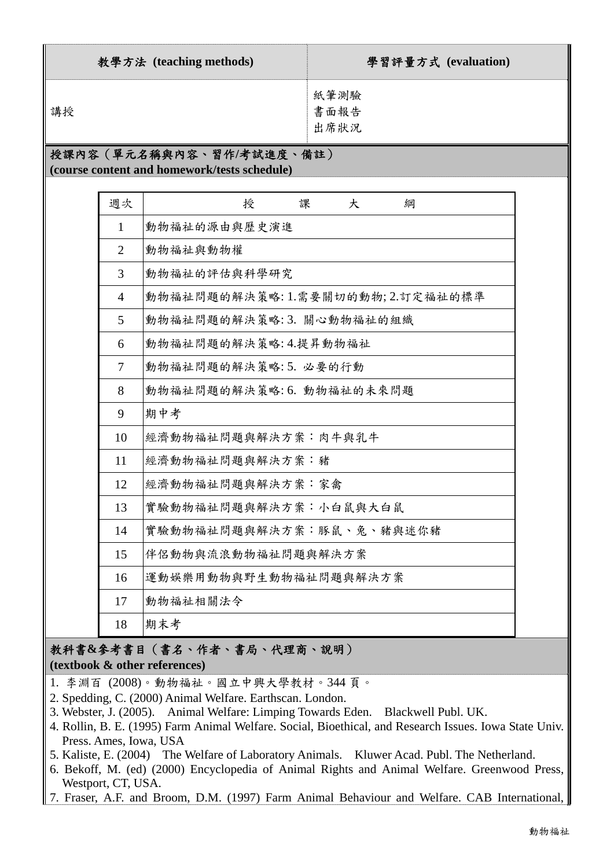| 教學方法 (teaching methods)                                                                                                                                                                                                                                                                                                                                                                                                                                                                                                                                                                                                                                   | 學習評量方式 (evaluation)       |
|-----------------------------------------------------------------------------------------------------------------------------------------------------------------------------------------------------------------------------------------------------------------------------------------------------------------------------------------------------------------------------------------------------------------------------------------------------------------------------------------------------------------------------------------------------------------------------------------------------------------------------------------------------------|---------------------------|
| 講授                                                                                                                                                                                                                                                                                                                                                                                                                                                                                                                                                                                                                                                        | 紙筆測驗<br>書面報告<br>出席狀況      |
| $\mathbf{r}(\mathbf{r}) = \mathbf{r}(\mathbf{r}) = \mathbf{r}(\mathbf{r}) = \mathbf{r}(\mathbf{r}) = \mathbf{r}(\mathbf{r}) = \mathbf{r}(\mathbf{r}) = \mathbf{r}(\mathbf{r}) = \mathbf{r}(\mathbf{r}) = \mathbf{r}(\mathbf{r}) = \mathbf{r}(\mathbf{r}) = \mathbf{r}(\mathbf{r}) = \mathbf{r}(\mathbf{r}) = \mathbf{r}(\mathbf{r}) = \mathbf{r}(\mathbf{r}) = \mathbf{r}(\mathbf{r}) = \mathbf{r}(\mathbf{r}) = \mathbf{r}(\mathbf{r})$<br>$\mathbf{A} \times \mathbf{A}$ and $\mathbf{A} \times \mathbf{A}$ and $\mathbf{A} \times \mathbf{A}$ and $\mathbf{A} \times \mathbf{A}$ and $\mathbf{A} \times \mathbf{A}$ and $\mathbf{A} \times \mathbf{A}$ | $\mathbf{m}$ $\mathbf{r}$ |

### 授課內容(單元名稱與內容、習作**/**考試進度、備註)

**(course content and homework/tests schedule)** 

| 週次             | 授<br>課<br>大<br>綗                |
|----------------|---------------------------------|
| $\mathbf{1}$   | 動物福祉的源由與歷史演進                    |
| $\overline{2}$ | 動物福祉與動物權                        |
| 3              | 動物福祉的評估與科學研究                    |
| $\overline{4}$ | 動物福祉問題的解決策略:1.需要關切的動物;2.訂定福祉的標準 |
| 5              | 動物福祉問題的解決策略:3. 關心動物福祉的組織        |
| 6              | 動物福祉問題的解決策略:4.提昇動物福祉            |
| 7              | 動物福祉問題的解決策略: 5. 必要的行動           |
| 8              | 動物福祉問題的解決策略:6. 動物福祉的未來問題        |
| 9              | 期中考                             |
| 10             | 經濟動物福祉問題與解決方案:肉牛與乳牛             |
| 11             | 經濟動物福祉問題與解決方案:豬                 |
| 12             | 經濟動物福祉問題與解決方案:家禽                |
| 13             | 實驗動物福祉問題與解決方案:小白鼠與大白鼠           |
| 14             | 實驗動物福祉問題與解決方案:豚鼠、兔、豬與迷你豬        |
| 15             | 伴侶動物與流浪動物福祉問題與解決方案              |
| 16             | 運動娛樂用動物與野生動物福祉問題與解決方案           |
| 17             | 動物福祉相關法令                        |
| 18             | 期末考                             |

#### 教科書**&**參考書目(書名、作者、書局、代理商、說明) **(textbook & other references)**

- 1. 李淵百 (2008)。動物福祉。國立中興大學教材。344 頁。
- 2. Spedding, C. (2000) Animal Welfare. Earthscan. London.
- 3. Webster, J. (2005). Animal Welfare: Limping Towards Eden. Blackwell Publ. UK.
- 4. Rollin, B. E. (1995) Farm Animal Welfare. Social, Bioethical, and Research Issues. Iowa State Univ. Press. Ames, Iowa, USA
- 5. Kaliste, E. (2004) The Welfare of Laboratory Animals. Kluwer Acad. Publ. The Netherland.
- 6. Bekoff, M. (ed) (2000) Encyclopedia of Animal Rights and Animal Welfare. Greenwood Press, Westport, CT, USA.
- 7. Fraser, A.F. and Broom, D.M. (1997) Farm Animal Behaviour and Welfare. CAB International,